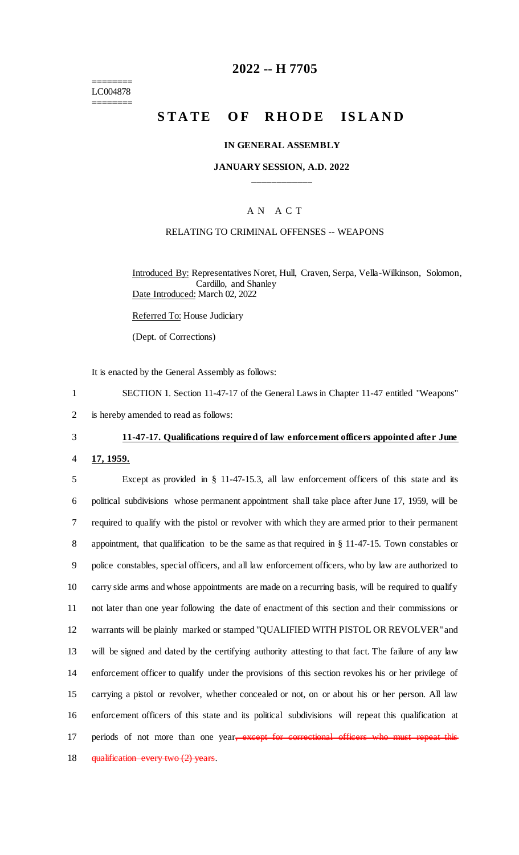======== LC004878 ========

## **2022 -- H 7705**

# **STATE OF RHODE ISLAND**

#### **IN GENERAL ASSEMBLY**

#### **JANUARY SESSION, A.D. 2022 \_\_\_\_\_\_\_\_\_\_\_\_**

#### A N A C T

### RELATING TO CRIMINAL OFFENSES -- WEAPONS

Introduced By: Representatives Noret, Hull, Craven, Serpa, Vella-Wilkinson, Solomon, Cardillo, and Shanley Date Introduced: March 02, 2022

Referred To: House Judiciary

(Dept. of Corrections)

It is enacted by the General Assembly as follows:

1 SECTION 1. Section 11-47-17 of the General Laws in Chapter 11-47 entitled "Weapons"

2 is hereby amended to read as follows:

### 3 **11-47-17. Qualifications required of law enforcement officers appointed after June**

4 **17, 1959.**

 Except as provided in § 11-47-15.3, all law enforcement officers of this state and its political subdivisions whose permanent appointment shall take place after June 17, 1959, will be required to qualify with the pistol or revolver with which they are armed prior to their permanent appointment, that qualification to be the same as that required in § 11-47-15. Town constables or police constables, special officers, and all law enforcement officers, who by law are authorized to carry side arms and whose appointments are made on a recurring basis, will be required to qualify not later than one year following the date of enactment of this section and their commissions or warrants will be plainly marked or stamped "QUALIFIED WITH PISTOL OR REVOLVER" and will be signed and dated by the certifying authority attesting to that fact. The failure of any law enforcement officer to qualify under the provisions of this section revokes his or her privilege of carrying a pistol or revolver, whether concealed or not, on or about his or her person. All law enforcement officers of this state and its political subdivisions will repeat this qualification at 17 periods of not more than one year, except for correctional officers who must repeat this 18 qualification every two (2) years.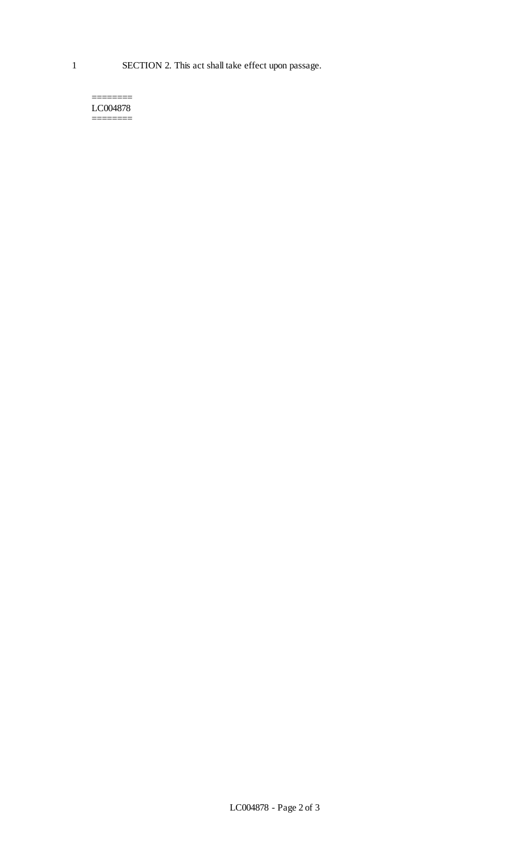======== LC004878 ========